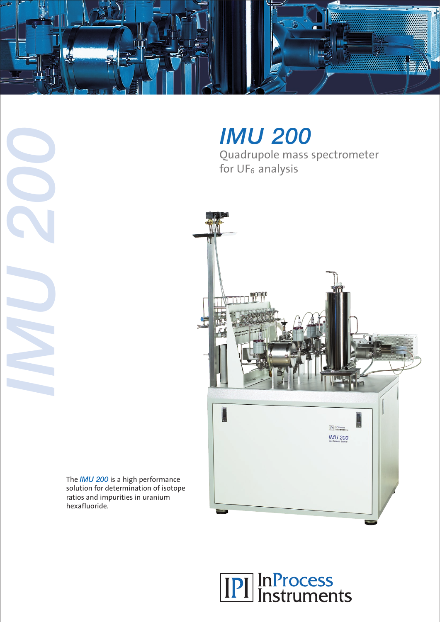

*IMU 200*

Quadrupole mass spectrometer for UF<sub>6</sub> analysis



The *IMU 200* is a high performance solution for determination of isotope ratios and impurities in uranium hexafluoride.

*IMU 200*